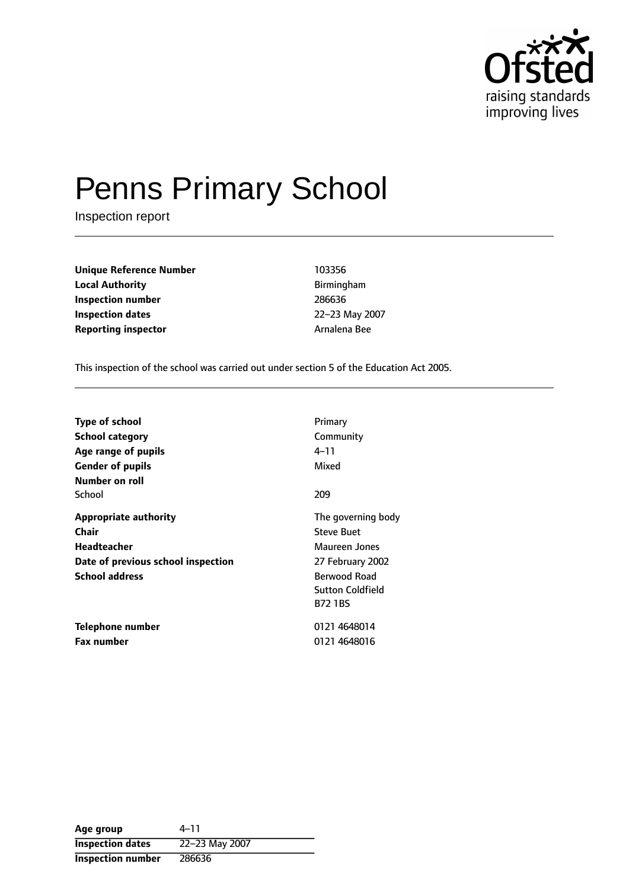

# Penns Primary School

Inspection report

**Unique Reference Number** 103356 **Local Authority Birmingham Inspection number** 286636 **Inspection dates** 22-23 May 2007 **Reporting inspector Arnalena Bee** 

This inspection of the school was carried out under section 5 of the Education Act 2005.

| <b>Type of school</b><br><b>School category</b><br>Age range of pupils<br><b>Gender of pupils</b><br>Number on roll               | Primary<br>Community<br>4–11<br>Mixed                                                                                                            |
|-----------------------------------------------------------------------------------------------------------------------------------|--------------------------------------------------------------------------------------------------------------------------------------------------|
| School                                                                                                                            | 209                                                                                                                                              |
| <b>Appropriate authority</b><br><b>Chair</b><br><b>Headteacher</b><br>Date of previous school inspection<br><b>School address</b> | The governing body<br><b>Steve Buet</b><br>Maureen Jones<br>27 February 2002<br><b>Berwood Road</b><br><b>Sutton Coldfield</b><br><b>B72 1BS</b> |
| Telephone number<br><b>Fax number</b>                                                                                             | 0121 4648014<br>0121 4648016                                                                                                                     |

Age group  $4-11$ **Inspection dates** 22-23 May 2007 **Inspection number** 286636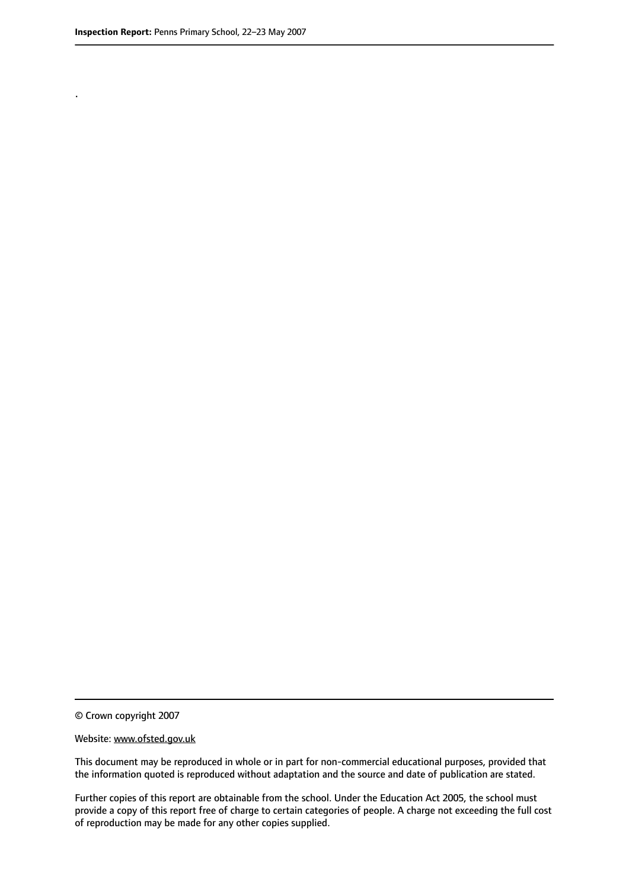.

© Crown copyright 2007

#### Website: www.ofsted.gov.uk

This document may be reproduced in whole or in part for non-commercial educational purposes, provided that the information quoted is reproduced without adaptation and the source and date of publication are stated.

Further copies of this report are obtainable from the school. Under the Education Act 2005, the school must provide a copy of this report free of charge to certain categories of people. A charge not exceeding the full cost of reproduction may be made for any other copies supplied.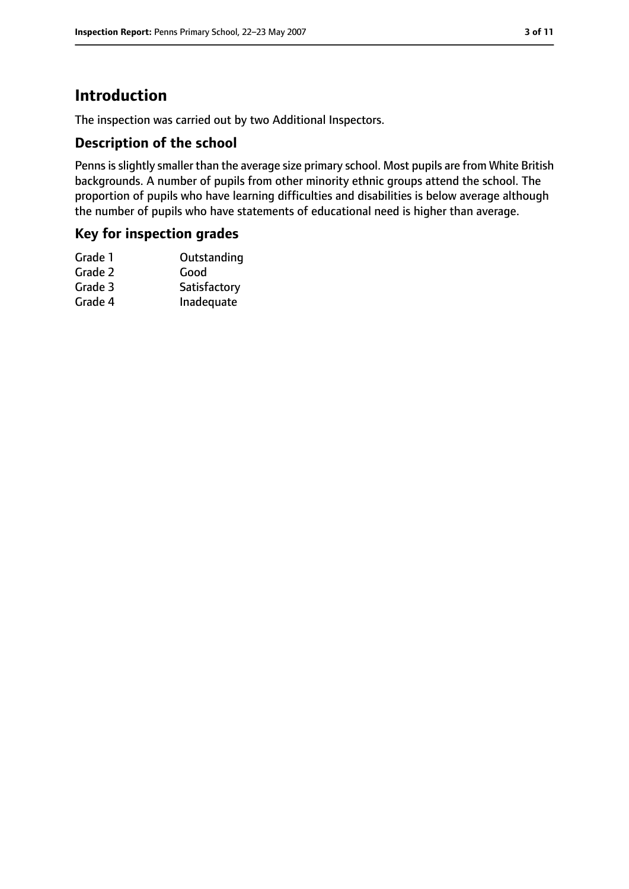# **Introduction**

The inspection was carried out by two Additional Inspectors.

## **Description of the school**

Penns is slightly smaller than the average size primary school. Most pupils are from White British backgrounds. A number of pupils from other minority ethnic groups attend the school. The proportion of pupils who have learning difficulties and disabilities is below average although the number of pupils who have statements of educational need is higher than average.

### **Key for inspection grades**

| Satisfactory |
|--------------|
| Inadequate   |
|              |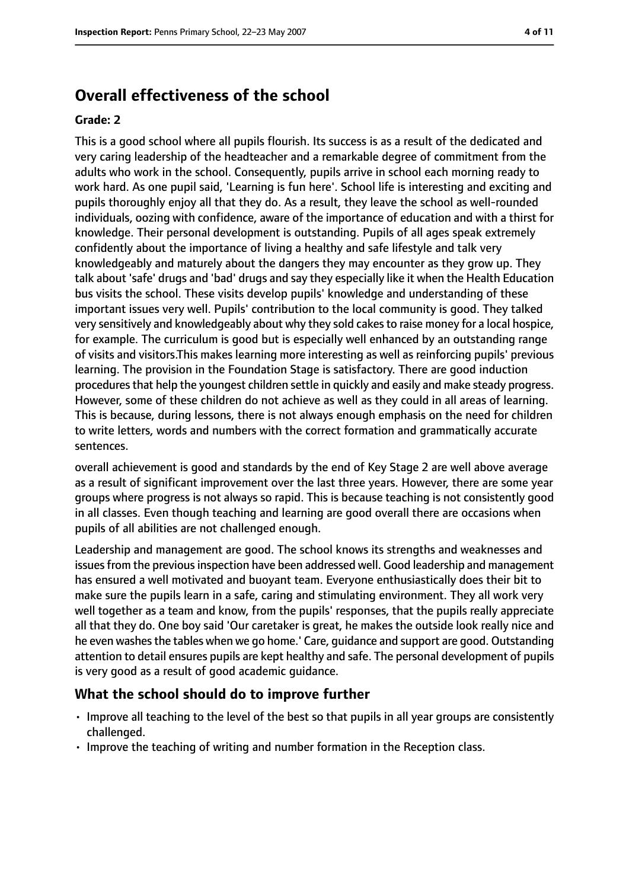## **Overall effectiveness of the school**

#### **Grade: 2**

This is a good school where all pupils flourish. Its success is as a result of the dedicated and very caring leadership of the headteacher and a remarkable degree of commitment from the adults who work in the school. Consequently, pupils arrive in school each morning ready to work hard. As one pupil said, 'Learning is fun here'. School life is interesting and exciting and pupils thoroughly enjoy all that they do. As a result, they leave the school as well-rounded individuals, oozing with confidence, aware of the importance of education and with a thirst for knowledge. Their personal development is outstanding. Pupils of all ages speak extremely confidently about the importance of living a healthy and safe lifestyle and talk very knowledgeably and maturely about the dangers they may encounter as they grow up. They talk about 'safe' drugs and 'bad' drugs and say they especially like it when the Health Education bus visits the school. These visits develop pupils' knowledge and understanding of these important issues very well. Pupils' contribution to the local community is good. They talked very sensitively and knowledgeably about why they sold cakes to raise money for a local hospice, for example. The curriculum is good but is especially well enhanced by an outstanding range of visits and visitors.This makes learning more interesting as well as reinforcing pupils' previous learning. The provision in the Foundation Stage is satisfactory. There are good induction procedures that help the youngest children settle in quickly and easily and make steady progress. However, some of these children do not achieve as well as they could in all areas of learning. This is because, during lessons, there is not always enough emphasis on the need for children to write letters, words and numbers with the correct formation and grammatically accurate sentences.

overall achievement is good and standards by the end of Key Stage 2 are well above average as a result of significant improvement over the last three years. However, there are some year groups where progress is not always so rapid. This is because teaching is not consistently good in all classes. Even though teaching and learning are good overall there are occasions when pupils of all abilities are not challenged enough.

Leadership and management are good. The school knows its strengths and weaknesses and issues from the previous inspection have been addressed well. Good leadership and management has ensured a well motivated and buoyant team. Everyone enthusiastically does their bit to make sure the pupils learn in a safe, caring and stimulating environment. They all work very well together as a team and know, from the pupils' responses, that the pupils really appreciate all that they do. One boy said 'Our caretaker is great, he makes the outside look really nice and he even washes the tables when we go home.' Care, guidance and support are good. Outstanding attention to detail ensures pupils are kept healthy and safe. The personal development of pupils is very good as a result of good academic guidance.

#### **What the school should do to improve further**

- Improve all teaching to the level of the best so that pupils in all year groups are consistently challenged.
- Improve the teaching of writing and number formation in the Reception class.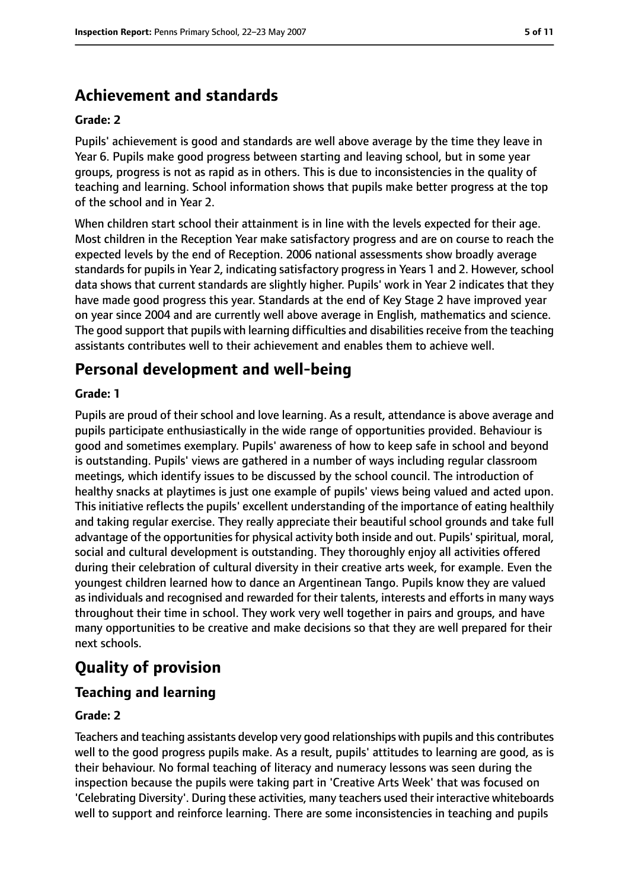# **Achievement and standards**

#### **Grade: 2**

Pupils' achievement is good and standards are well above average by the time they leave in Year 6. Pupils make good progress between starting and leaving school, but in some year groups, progress is not as rapid as in others. This is due to inconsistencies in the quality of teaching and learning. School information shows that pupils make better progress at the top of the school and in Year 2.

When children start school their attainment is in line with the levels expected for their age. Most children in the Reception Year make satisfactory progress and are on course to reach the expected levels by the end of Reception. 2006 national assessments show broadly average standards for pupils in Year 2, indicating satisfactory progress in Years 1 and 2. However, school data shows that current standards are slightly higher. Pupils' work in Year 2 indicates that they have made good progress this year. Standards at the end of Key Stage 2 have improved year on year since 2004 and are currently well above average in English, mathematics and science. The good support that pupils with learning difficulties and disabilities receive from the teaching assistants contributes well to their achievement and enables them to achieve well.

## **Personal development and well-being**

#### **Grade: 1**

Pupils are proud of their school and love learning. As a result, attendance is above average and pupils participate enthusiastically in the wide range of opportunities provided. Behaviour is good and sometimes exemplary. Pupils' awareness of how to keep safe in school and beyond is outstanding. Pupils' views are gathered in a number of ways including regular classroom meetings, which identify issues to be discussed by the school council. The introduction of healthy snacks at playtimes is just one example of pupils' views being valued and acted upon. This initiative reflects the pupils' excellent understanding of the importance of eating healthily and taking regular exercise. They really appreciate their beautiful school grounds and take full advantage of the opportunities for physical activity both inside and out. Pupils' spiritual, moral, social and cultural development is outstanding. They thoroughly enjoy all activities offered during their celebration of cultural diversity in their creative arts week, for example. Even the youngest children learned how to dance an Argentinean Tango. Pupils know they are valued as individuals and recognised and rewarded for their talents, interests and efforts in many ways throughout their time in school. They work very well together in pairs and groups, and have many opportunities to be creative and make decisions so that they are well prepared for their next schools.

# **Quality of provision**

#### **Teaching and learning**

#### **Grade: 2**

Teachers and teaching assistants develop very good relationships with pupils and this contributes well to the good progress pupils make. As a result, pupils' attitudes to learning are good, as is their behaviour. No formal teaching of literacy and numeracy lessons was seen during the inspection because the pupils were taking part in 'Creative Arts Week' that was focused on 'Celebrating Diversity'. During these activities, many teachers used their interactive whiteboards well to support and reinforce learning. There are some inconsistencies in teaching and pupils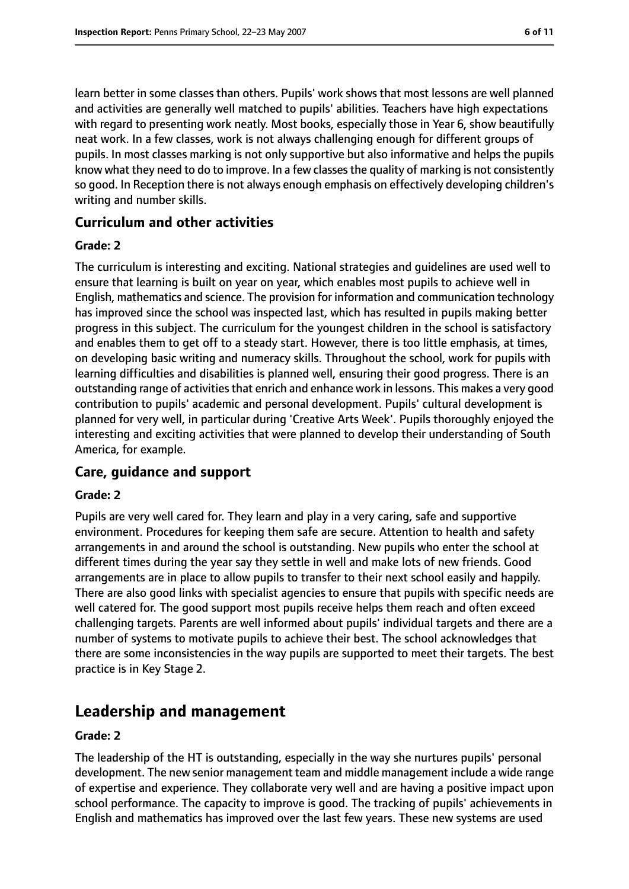learn better in some classes than others. Pupils' work shows that most lessons are well planned and activities are generally well matched to pupils' abilities. Teachers have high expectations with regard to presenting work neatly. Most books, especially those in Year 6, show beautifully neat work. In a few classes, work is not always challenging enough for different groups of pupils. In most classes marking is not only supportive but also informative and helps the pupils know what they need to do to improve. In a few classes the quality of marking is not consistently so good. In Reception there is not always enough emphasis on effectively developing children's writing and number skills.

#### **Curriculum and other activities**

#### **Grade: 2**

The curriculum is interesting and exciting. National strategies and guidelines are used well to ensure that learning is built on year on year, which enables most pupils to achieve well in English, mathematics and science. The provision for information and communication technology has improved since the school was inspected last, which has resulted in pupils making better progress in this subject. The curriculum for the youngest children in the school is satisfactory and enables them to get off to a steady start. However, there is too little emphasis, at times, on developing basic writing and numeracy skills. Throughout the school, work for pupils with learning difficulties and disabilities is planned well, ensuring their good progress. There is an outstanding range of activities that enrich and enhance work in lessons. This makes a very good contribution to pupils' academic and personal development. Pupils' cultural development is planned for very well, in particular during 'Creative Arts Week'. Pupils thoroughly enjoyed the interesting and exciting activities that were planned to develop their understanding of South America, for example.

#### **Care, guidance and support**

#### **Grade: 2**

Pupils are very well cared for. They learn and play in a very caring, safe and supportive environment. Procedures for keeping them safe are secure. Attention to health and safety arrangements in and around the school is outstanding. New pupils who enter the school at different times during the year say they settle in well and make lots of new friends. Good arrangements are in place to allow pupils to transfer to their next school easily and happily. There are also good links with specialist agencies to ensure that pupils with specific needs are well catered for. The good support most pupils receive helps them reach and often exceed challenging targets. Parents are well informed about pupils' individual targets and there are a number of systems to motivate pupils to achieve their best. The school acknowledges that there are some inconsistencies in the way pupils are supported to meet their targets. The best practice is in Key Stage 2.

## **Leadership and management**

#### **Grade: 2**

The leadership of the HT is outstanding, especially in the way she nurtures pupils' personal development. The new senior management team and middle management include a wide range of expertise and experience. They collaborate very well and are having a positive impact upon school performance. The capacity to improve is good. The tracking of pupils' achievements in English and mathematics has improved over the last few years. These new systems are used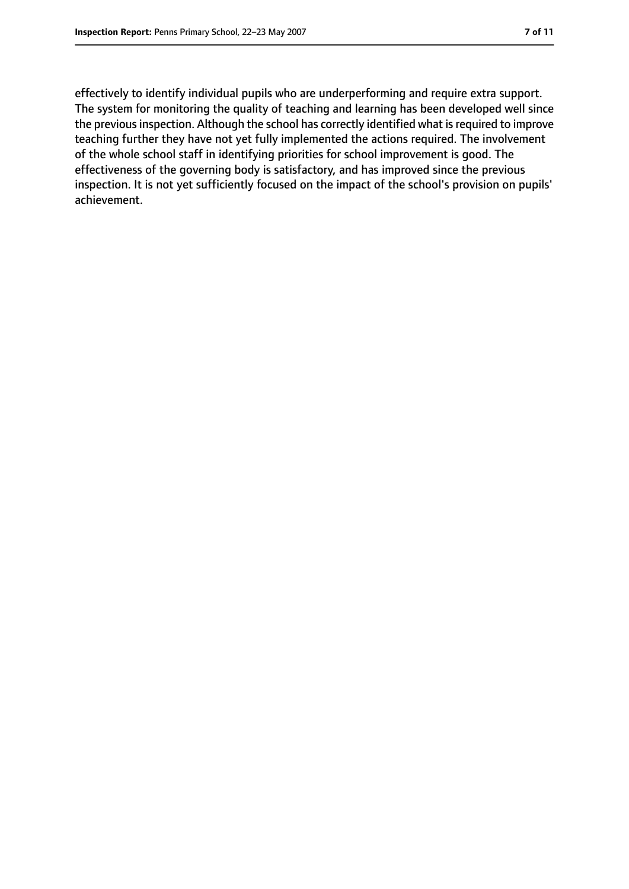effectively to identify individual pupils who are underperforming and require extra support. The system for monitoring the quality of teaching and learning has been developed well since the previous inspection. Although the school has correctly identified what is required to improve teaching further they have not yet fully implemented the actions required. The involvement of the whole school staff in identifying priorities for school improvement is good. The effectiveness of the governing body is satisfactory, and has improved since the previous inspection. It is not yet sufficiently focused on the impact of the school's provision on pupils' achievement.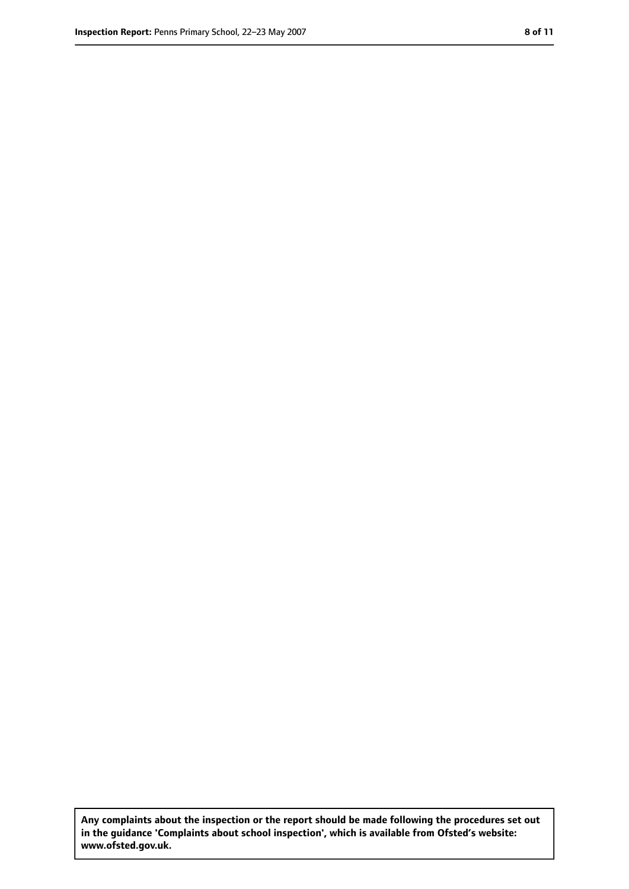**Any complaints about the inspection or the report should be made following the procedures set out in the guidance 'Complaints about school inspection', which is available from Ofsted's website: www.ofsted.gov.uk.**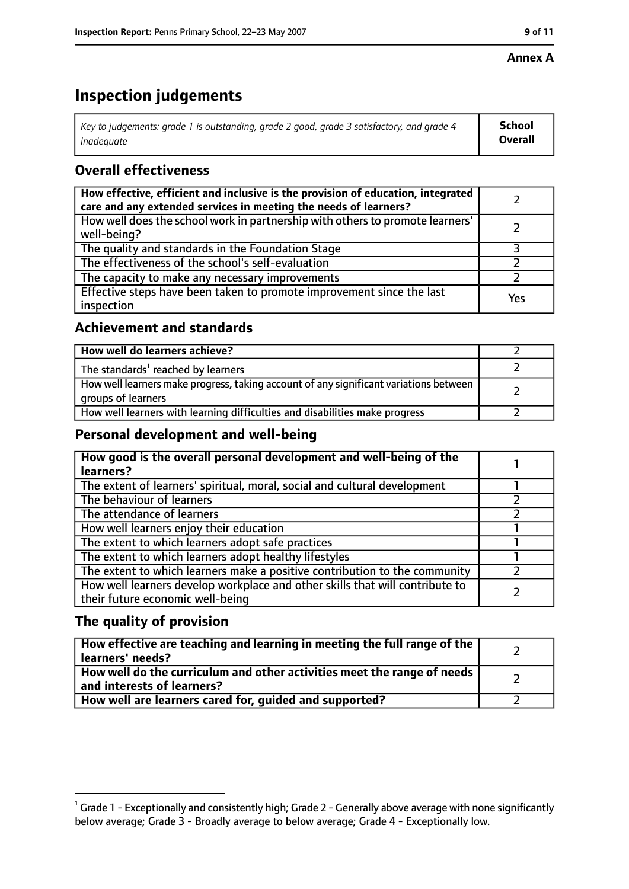#### **Annex A**

# **Inspection judgements**

| Key to judgements: grade 1 is outstanding, grade 2 good, grade 3 satisfactory, and grade 4 $\,$ | <b>School</b>  |
|-------------------------------------------------------------------------------------------------|----------------|
| inadequate                                                                                      | <b>Overall</b> |

## **Overall effectiveness**

| How effective, efficient and inclusive is the provision of education, integrated<br>care and any extended services in meeting the needs of learners? |     |
|------------------------------------------------------------------------------------------------------------------------------------------------------|-----|
| How well does the school work in partnership with others to promote learners'<br>well-being?                                                         |     |
| The quality and standards in the Foundation Stage                                                                                                    |     |
| The effectiveness of the school's self-evaluation                                                                                                    |     |
| The capacity to make any necessary improvements                                                                                                      |     |
| Effective steps have been taken to promote improvement since the last<br>inspection                                                                  | Yes |

## **Achievement and standards**

| How well do learners achieve?                                                                               |  |
|-------------------------------------------------------------------------------------------------------------|--|
| The standards <sup>1</sup> reached by learners                                                              |  |
| How well learners make progress, taking account of any significant variations between<br>groups of learners |  |
| How well learners with learning difficulties and disabilities make progress                                 |  |

## **Personal development and well-being**

| How good is the overall personal development and well-being of the<br>learners?                                  |  |
|------------------------------------------------------------------------------------------------------------------|--|
| The extent of learners' spiritual, moral, social and cultural development                                        |  |
| The behaviour of learners                                                                                        |  |
| The attendance of learners                                                                                       |  |
| How well learners enjoy their education                                                                          |  |
| The extent to which learners adopt safe practices                                                                |  |
| The extent to which learners adopt healthy lifestyles                                                            |  |
| The extent to which learners make a positive contribution to the community                                       |  |
| How well learners develop workplace and other skills that will contribute to<br>their future economic well-being |  |

## **The quality of provision**

| How effective are teaching and learning in meeting the full range of the<br>learners' needs?          |  |
|-------------------------------------------------------------------------------------------------------|--|
| How well do the curriculum and other activities meet the range of needs<br>and interests of learners? |  |
| How well are learners cared for, guided and supported?                                                |  |

 $^1$  Grade 1 - Exceptionally and consistently high; Grade 2 - Generally above average with none significantly below average; Grade 3 - Broadly average to below average; Grade 4 - Exceptionally low.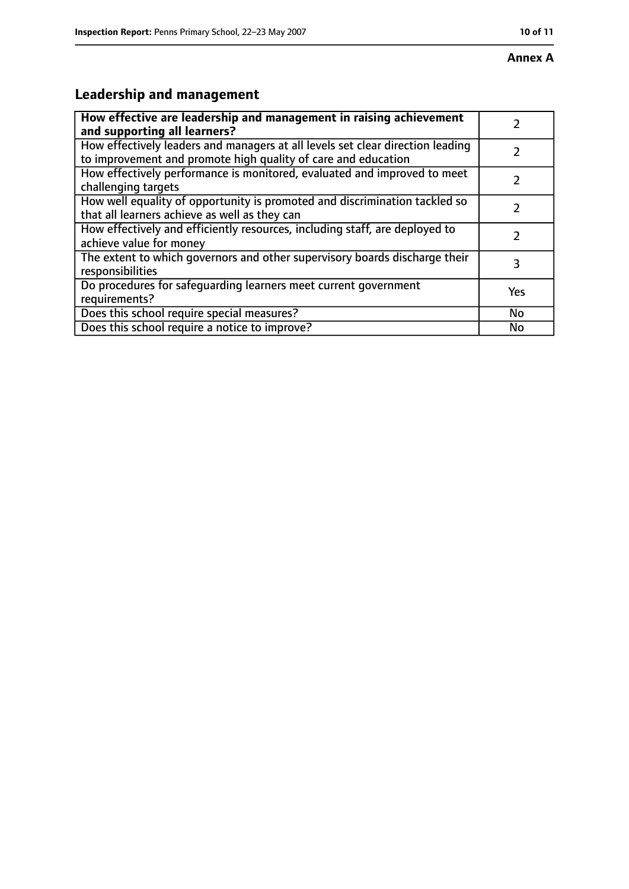# **Leadership and management**

| How effective are leadership and management in raising achievement<br>and supporting all learners?                                              |     |
|-------------------------------------------------------------------------------------------------------------------------------------------------|-----|
| How effectively leaders and managers at all levels set clear direction leading<br>to improvement and promote high quality of care and education |     |
| How effectively performance is monitored, evaluated and improved to meet<br>challenging targets                                                 |     |
| How well equality of opportunity is promoted and discrimination tackled so<br>that all learners achieve as well as they can                     |     |
| How effectively and efficiently resources, including staff, are deployed to<br>achieve value for money                                          | 7   |
| The extent to which governors and other supervisory boards discharge their<br>responsibilities                                                  | 3   |
| Do procedures for safequarding learners meet current government<br>requirements?                                                                | Yes |
| Does this school require special measures?                                                                                                      | No  |
| Does this school require a notice to improve?                                                                                                   | No  |